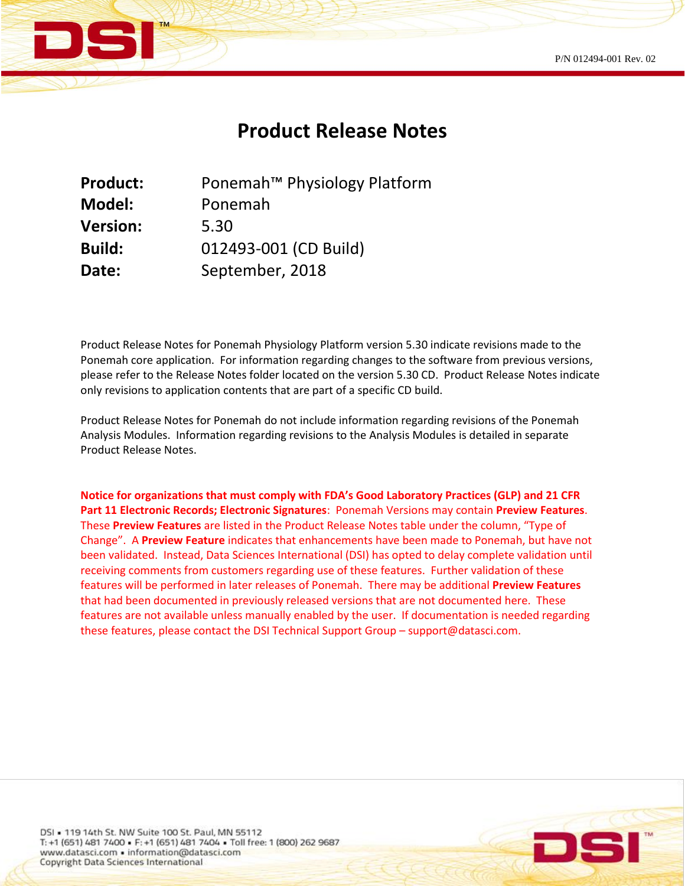

## **Product Release Notes**

| <b>Product:</b> | Ponemah <sup>™</sup> Physiology Platform |
|-----------------|------------------------------------------|
| <b>Model:</b>   | Ponemah                                  |
| <b>Version:</b> | 5.30                                     |
| <b>Build:</b>   | 012493-001 (CD Build)                    |
| Date:           | September, 2018                          |

Product Release Notes for Ponemah Physiology Platform version 5.30 indicate revisions made to the Ponemah core application. For information regarding changes to the software from previous versions, please refer to the Release Notes folder located on the version 5.30 CD. Product Release Notes indicate only revisions to application contents that are part of a specific CD build.

Product Release Notes for Ponemah do not include information regarding revisions of the Ponemah Analysis Modules. Information regarding revisions to the Analysis Modules is detailed in separate Product Release Notes.

**Notice for organizations that must comply with FDA's Good Laboratory Practices (GLP) and 21 CFR Part 11 Electronic Records; Electronic Signatures**: Ponemah Versions may contain **Preview Features**. These **Preview Features** are listed in the Product Release Notes table under the column, "Type of Change". A **Preview Feature** indicates that enhancements have been made to Ponemah, but have not been validated. Instead, Data Sciences International (DSI) has opted to delay complete validation until receiving comments from customers regarding use of these features. Further validation of these features will be performed in later releases of Ponemah. There may be additional **Preview Features** that had been documented in previously released versions that are not documented here. These features are not available unless manually enabled by the user. If documentation is needed regarding these features, please contact the DSI Technical Support Group – support@datasci.com.

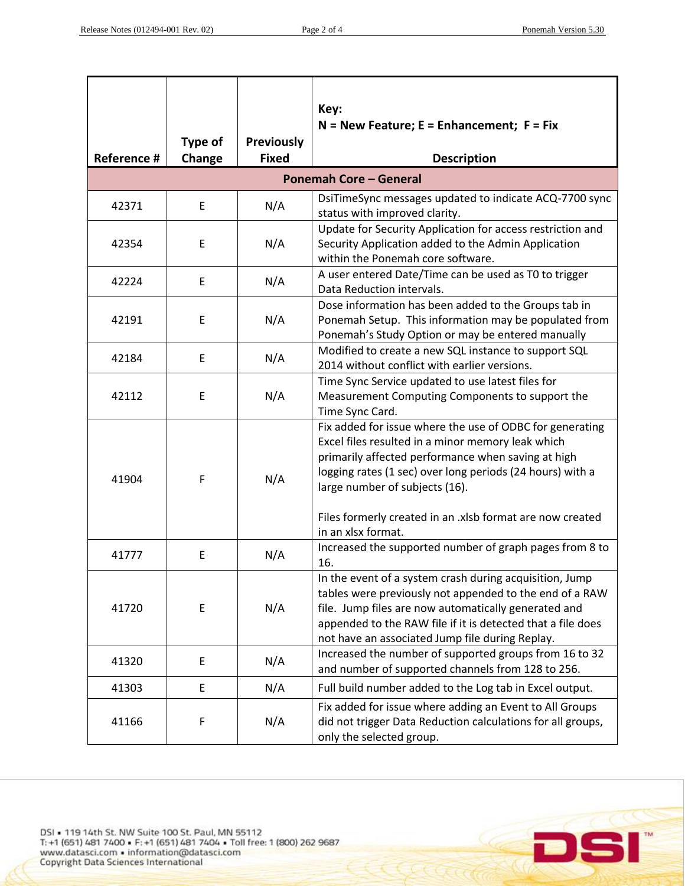$\overline{CC}$ 

Sľ

DI

| Reference #                   | Type of<br>Change | <b>Previously</b><br><b>Fixed</b> | Key:<br>$N =$ New Feature; E = Enhancement; F = Fix<br><b>Description</b>                                                                                                                                                                                                                                                       |  |  |
|-------------------------------|-------------------|-----------------------------------|---------------------------------------------------------------------------------------------------------------------------------------------------------------------------------------------------------------------------------------------------------------------------------------------------------------------------------|--|--|
| <b>Ponemah Core - General</b> |                   |                                   |                                                                                                                                                                                                                                                                                                                                 |  |  |
| 42371                         | Е                 | N/A                               | DsiTimeSync messages updated to indicate ACQ-7700 sync<br>status with improved clarity.                                                                                                                                                                                                                                         |  |  |
| 42354                         | E                 | N/A                               | Update for Security Application for access restriction and<br>Security Application added to the Admin Application<br>within the Ponemah core software.                                                                                                                                                                          |  |  |
| 42224                         | E                 | N/A                               | A user entered Date/Time can be used as T0 to trigger<br>Data Reduction intervals.                                                                                                                                                                                                                                              |  |  |
| 42191                         | Ε                 | N/A                               | Dose information has been added to the Groups tab in<br>Ponemah Setup. This information may be populated from<br>Ponemah's Study Option or may be entered manually                                                                                                                                                              |  |  |
| 42184                         | E                 | N/A                               | Modified to create a new SQL instance to support SQL<br>2014 without conflict with earlier versions.                                                                                                                                                                                                                            |  |  |
| 42112                         | Е                 | N/A                               | Time Sync Service updated to use latest files for<br>Measurement Computing Components to support the<br>Time Sync Card.                                                                                                                                                                                                         |  |  |
| 41904                         | F                 | N/A                               | Fix added for issue where the use of ODBC for generating<br>Excel files resulted in a minor memory leak which<br>primarily affected performance when saving at high<br>logging rates (1 sec) over long periods (24 hours) with a<br>large number of subjects (16).<br>Files formerly created in an .xlsb format are now created |  |  |
| 41777                         | E                 | N/A                               | in an xlsx format.<br>Increased the supported number of graph pages from 8 to<br>16.                                                                                                                                                                                                                                            |  |  |
| 41720                         | E                 | N/A                               | In the event of a system crash during acquisition, Jump<br>tables were previously not appended to the end of a RAW<br>file. Jump files are now automatically generated and<br>appended to the RAW file if it is detected that a file does<br>not have an associated Jump file during Replay.                                    |  |  |
| 41320                         | E                 | N/A                               | Increased the number of supported groups from 16 to 32<br>and number of supported channels from 128 to 256.                                                                                                                                                                                                                     |  |  |
| 41303                         | E                 | N/A                               | Full build number added to the Log tab in Excel output.                                                                                                                                                                                                                                                                         |  |  |
| 41166                         | F                 | N/A                               | Fix added for issue where adding an Event to All Groups<br>did not trigger Data Reduction calculations for all groups,<br>only the selected group.                                                                                                                                                                              |  |  |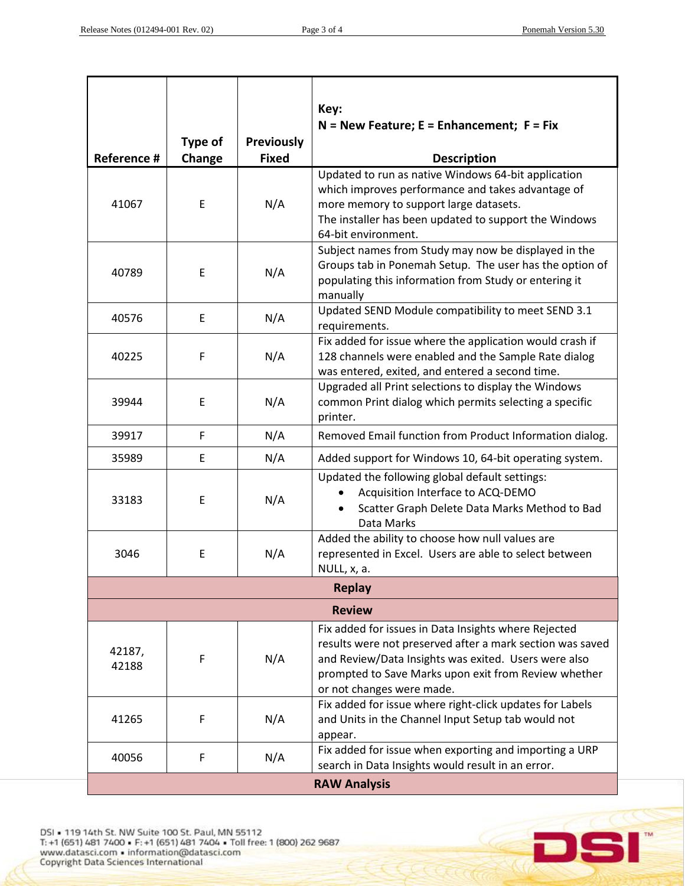|                     |                   |                                   | Key:<br>$N =$ New Feature; E = Enhancement; F = Fix                                                                                                                                                                                                            |  |
|---------------------|-------------------|-----------------------------------|----------------------------------------------------------------------------------------------------------------------------------------------------------------------------------------------------------------------------------------------------------------|--|
| Reference #         | Type of<br>Change | <b>Previously</b><br><b>Fixed</b> | <b>Description</b>                                                                                                                                                                                                                                             |  |
| 41067               | E                 | N/A                               | Updated to run as native Windows 64-bit application<br>which improves performance and takes advantage of<br>more memory to support large datasets.<br>The installer has been updated to support the Windows<br>64-bit environment.                             |  |
| 40789               | E                 | N/A                               | Subject names from Study may now be displayed in the<br>Groups tab in Ponemah Setup. The user has the option of<br>populating this information from Study or entering it<br>manually                                                                           |  |
| 40576               | Ε                 | N/A                               | Updated SEND Module compatibility to meet SEND 3.1<br>requirements.                                                                                                                                                                                            |  |
| 40225               | F                 | N/A                               | Fix added for issue where the application would crash if<br>128 channels were enabled and the Sample Rate dialog<br>was entered, exited, and entered a second time.                                                                                            |  |
| 39944               | Ε                 | N/A                               | Upgraded all Print selections to display the Windows<br>common Print dialog which permits selecting a specific<br>printer.                                                                                                                                     |  |
| 39917               | F                 | N/A                               | Removed Email function from Product Information dialog.                                                                                                                                                                                                        |  |
| 35989               | E                 | N/A                               | Added support for Windows 10, 64-bit operating system.                                                                                                                                                                                                         |  |
| 33183               | E                 | N/A                               | Updated the following global default settings:<br>Acquisition Interface to ACQ-DEMO<br>Scatter Graph Delete Data Marks Method to Bad<br>Data Marks                                                                                                             |  |
| 3046                | E                 | N/A                               | Added the ability to choose how null values are<br>represented in Excel. Users are able to select between<br>NULL, x, a.                                                                                                                                       |  |
| <b>Replay</b>       |                   |                                   |                                                                                                                                                                                                                                                                |  |
|                     |                   |                                   | <b>Review</b>                                                                                                                                                                                                                                                  |  |
| 42187,<br>42188     | F                 | N/A                               | Fix added for issues in Data Insights where Rejected<br>results were not preserved after a mark section was saved<br>and Review/Data Insights was exited. Users were also<br>prompted to Save Marks upon exit from Review whether<br>or not changes were made. |  |
| 41265               | F                 | N/A                               | Fix added for issue where right-click updates for Labels<br>and Units in the Channel Input Setup tab would not<br>appear.                                                                                                                                      |  |
| 40056               | F                 | N/A                               | Fix added for issue when exporting and importing a URP<br>search in Data Insights would result in an error.                                                                                                                                                    |  |
| <b>RAW Analysis</b> |                   |                                   |                                                                                                                                                                                                                                                                |  |

DSI = 119 14th St. NW Suite 100 St. Paul, MN 55112<br>T: +1 (651) 481 7400 = F: +1 (651) 481 7404 = Toll free: 1 (800) 262 9687<br>www.datasci.com = information@datasci.com<br>Copyright Data Sciences International

 $\blacksquare$